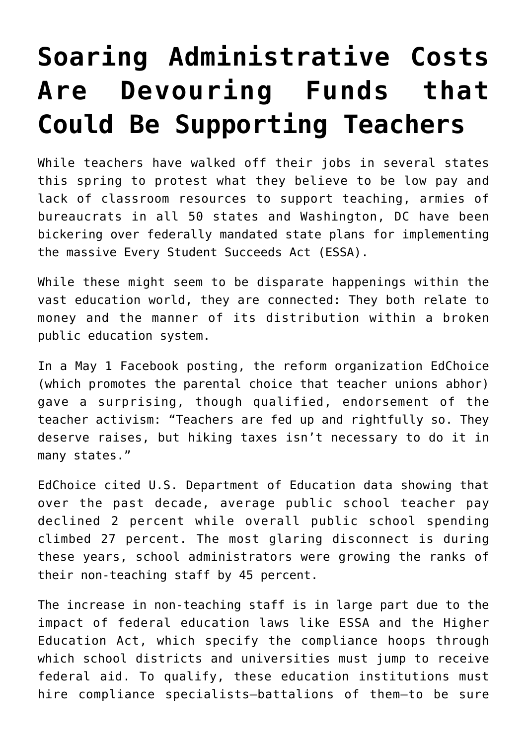## **[Soaring Administrative Costs](https://intellectualtakeout.org/2018/06/soaring-administrative-costs-are-devouring-funds-that-could-be-supporting-teachers/) [Are Devouring Funds that](https://intellectualtakeout.org/2018/06/soaring-administrative-costs-are-devouring-funds-that-could-be-supporting-teachers/) [Could Be Supporting Teachers](https://intellectualtakeout.org/2018/06/soaring-administrative-costs-are-devouring-funds-that-could-be-supporting-teachers/)**

While teachers have walked off their jobs in several states this spring to protest what they believe to be low pay and lack of classroom resources to support teaching, armies of bureaucrats in all 50 states and Washington, DC have been bickering over federally mandated state plans for implementing the massive Every Student Succeeds Act (ESSA).

While these might seem to be disparate happenings within the vast education world, they are connected: They both relate to money and the manner of its distribution within a broken public education system.

In a May 1 Facebook posting, the reform organization EdChoice (which promotes the parental choice that teacher unions abhor) gave a surprising, though qualified, endorsement of the teacher activism: "Teachers are fed up and rightfully so. They deserve raises, but hiking taxes isn't necessary to do it in many states."

EdChoice cited U.S. Department of Education data showing that over the past decade, average public school teacher pay declined 2 percent while overall public school spending climbed 27 percent. The most glaring disconnect is during these years, school administrators were growing the ranks of their non-teaching staff by 45 percent.

The increase in non-teaching staff is in large part due to the impact of federal education laws like ESSA and the Higher Education Act, which specify the compliance hoops through which school districts and universities must jump to receive federal aid. To qualify, these education institutions must hire compliance specialists—battalions of them—to be sure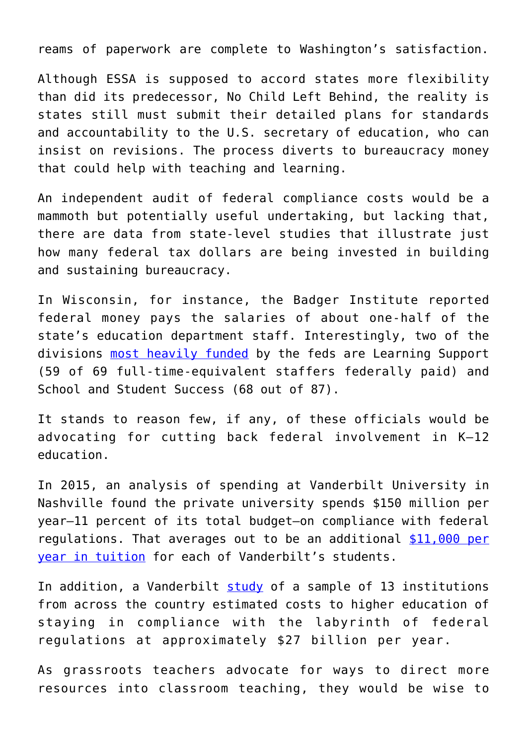reams of paperwork are complete to Washington's satisfaction.

Although ESSA is supposed to accord states more flexibility than did its predecessor, No Child Left Behind, the reality is states still must submit their detailed plans for standards and accountability to the U.S. secretary of education, who can insist on revisions. The process diverts to bureaucracy money that could help with teaching and learning.

An independent audit of federal compliance costs would be a mammoth but potentially useful undertaking, but lacking that, there are data from state-level studies that illustrate just how many federal tax dollars are being invested in building and sustaining bureaucracy.

In Wisconsin, for instance, the Badger Institute reported federal money pays the salaries of about one-half of the state's education department staff. Interestingly, two of the divisions [most heavily funded](https://www.badgerinstitute.org/Commentary/The-bureaucratic-skim-of-federal-school-funding.htm) by the feds are Learning Support (59 of 69 full-time-equivalent staffers federally paid) and School and Student Success (68 out of 87).

It stands to reason few, if any, of these officials would be advocating for cutting back federal involvement in K–12 education.

In 2015, an analysis of spending at Vanderbilt University in Nashville found the private university spends \$150 million per year—11 percent of its total budget—on compliance with federal regulations. That averages out to be an additional [\\$11,000 per](https://www.jamesgmartin.center/2016/03/the-federal-leviathan-is-crushing-colleges-and-universities/) [year in tuition](https://www.jamesgmartin.center/2016/03/the-federal-leviathan-is-crushing-colleges-and-universities/) for each of Vanderbilt's students.

In addition, a Vanderbilt  $study$  of a sample of 13 institutions from across the country estimated costs to higher education of staying in compliance with the labyrinth of federal regulations at approximately \$27 billion per year.

As grassroots teachers advocate for ways to direct more resources into classroom teaching, they would be wise to